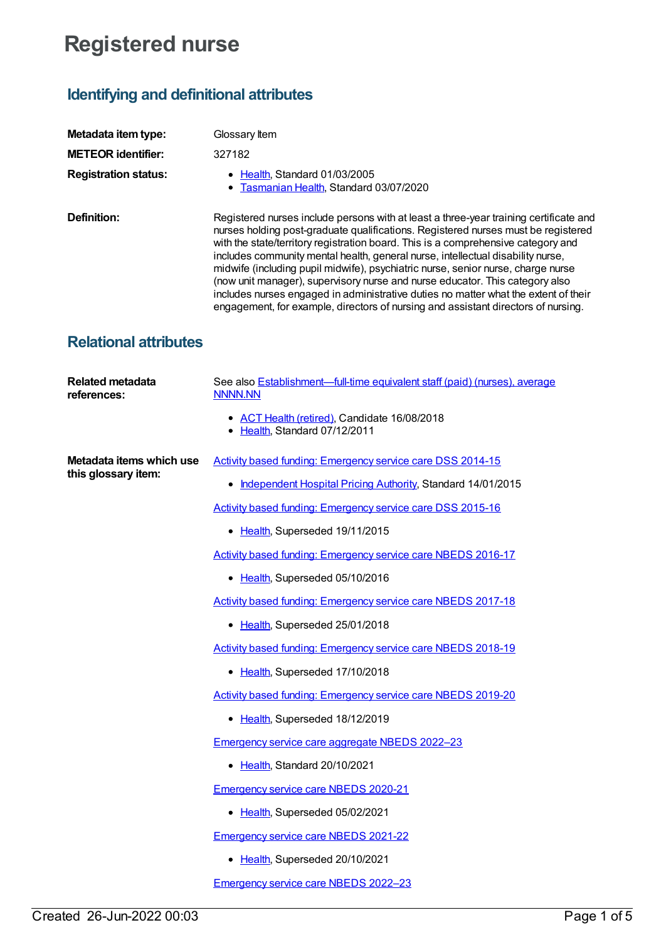## **Registered nurse**

## **Identifying and definitional attributes**

| Metadata item type:                             | Glossary Item                                                                                                                                                                                                                                                                                                                                                                                                                                                                                                                                                                                                                                                                                      |
|-------------------------------------------------|----------------------------------------------------------------------------------------------------------------------------------------------------------------------------------------------------------------------------------------------------------------------------------------------------------------------------------------------------------------------------------------------------------------------------------------------------------------------------------------------------------------------------------------------------------------------------------------------------------------------------------------------------------------------------------------------------|
| <b>METEOR identifier:</b>                       | 327182                                                                                                                                                                                                                                                                                                                                                                                                                                                                                                                                                                                                                                                                                             |
| <b>Registration status:</b>                     | • Health, Standard 01/03/2005<br>Tasmanian Health, Standard 03/07/2020                                                                                                                                                                                                                                                                                                                                                                                                                                                                                                                                                                                                                             |
| Definition:                                     | Registered nurses include persons with at least a three-year training certificate and<br>nurses holding post-graduate qualifications. Registered nurses must be registered<br>with the state/territory registration board. This is a comprehensive category and<br>includes community mental health, general nurse, intellectual disability nurse,<br>midwife (including pupil midwife), psychiatric nurse, senior nurse, charge nurse<br>(now unit manager), supervisory nurse and nurse educator. This category also<br>includes nurses engaged in administrative duties no matter what the extent of their<br>engagement, for example, directors of nursing and assistant directors of nursing. |
| <b>Relational attributes</b>                    |                                                                                                                                                                                                                                                                                                                                                                                                                                                                                                                                                                                                                                                                                                    |
| <b>Related metadata</b><br>references:          | See also <b>Establishment—full-time equivalent staff (paid) (nurses)</b> , average<br><b>NNNN.NN</b>                                                                                                                                                                                                                                                                                                                                                                                                                                                                                                                                                                                               |
|                                                 | • ACT Health (retired), Candidate 16/08/2018<br>• Health, Standard 07/12/2011                                                                                                                                                                                                                                                                                                                                                                                                                                                                                                                                                                                                                      |
| Metadata items which use<br>this glossary item: | Activity based funding: Emergency service care DSS 2014-15                                                                                                                                                                                                                                                                                                                                                                                                                                                                                                                                                                                                                                         |
|                                                 | • Independent Hospital Pricing Authority, Standard 14/01/2015                                                                                                                                                                                                                                                                                                                                                                                                                                                                                                                                                                                                                                      |
|                                                 | Activity based funding: Emergency service care DSS 2015-16                                                                                                                                                                                                                                                                                                                                                                                                                                                                                                                                                                                                                                         |
|                                                 | • Health, Superseded 19/11/2015                                                                                                                                                                                                                                                                                                                                                                                                                                                                                                                                                                                                                                                                    |
|                                                 | Activity based funding: Emergency service care NBEDS 2016-17                                                                                                                                                                                                                                                                                                                                                                                                                                                                                                                                                                                                                                       |
|                                                 | • Health, Superseded 05/10/2016                                                                                                                                                                                                                                                                                                                                                                                                                                                                                                                                                                                                                                                                    |
|                                                 | Activity based funding: Emergency service care NBEDS 2017-18                                                                                                                                                                                                                                                                                                                                                                                                                                                                                                                                                                                                                                       |
|                                                 | • Health, Superseded 25/01/2018                                                                                                                                                                                                                                                                                                                                                                                                                                                                                                                                                                                                                                                                    |
|                                                 | Activity based funding: Emergency service care NBEDS 2018-19                                                                                                                                                                                                                                                                                                                                                                                                                                                                                                                                                                                                                                       |
|                                                 | • Health, Superseded 17/10/2018                                                                                                                                                                                                                                                                                                                                                                                                                                                                                                                                                                                                                                                                    |
|                                                 | <b>Activity based funding: Emergency service care NBEDS 2019-20</b>                                                                                                                                                                                                                                                                                                                                                                                                                                                                                                                                                                                                                                |
|                                                 | • Health, Superseded 18/12/2019                                                                                                                                                                                                                                                                                                                                                                                                                                                                                                                                                                                                                                                                    |
|                                                 | <b>Emergency service care aggregate NBEDS 2022-23</b>                                                                                                                                                                                                                                                                                                                                                                                                                                                                                                                                                                                                                                              |
|                                                 | • Health, Standard 20/10/2021                                                                                                                                                                                                                                                                                                                                                                                                                                                                                                                                                                                                                                                                      |
|                                                 | <b>Emergency service care NBEDS 2020-21</b>                                                                                                                                                                                                                                                                                                                                                                                                                                                                                                                                                                                                                                                        |
|                                                 | • Health, Superseded 05/02/2021                                                                                                                                                                                                                                                                                                                                                                                                                                                                                                                                                                                                                                                                    |
|                                                 | <b>Emergency service care NBEDS 2021-22</b>                                                                                                                                                                                                                                                                                                                                                                                                                                                                                                                                                                                                                                                        |
|                                                 | • Health, Superseded 20/10/2021                                                                                                                                                                                                                                                                                                                                                                                                                                                                                                                                                                                                                                                                    |
|                                                 | <b>Emergency service care NBEDS 2022-23</b>                                                                                                                                                                                                                                                                                                                                                                                                                                                                                                                                                                                                                                                        |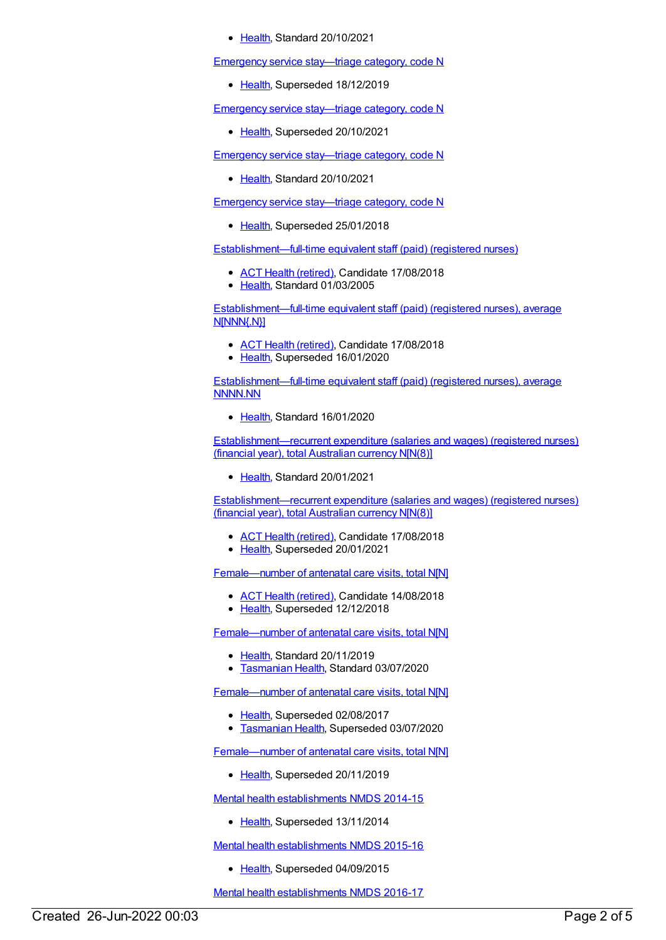[Health](https://meteor.aihw.gov.au/RegistrationAuthority/12), Standard 20/10/2021

Emergency service [stay—triage](https://meteor.aihw.gov.au/content/679153) category, code N

• [Health](https://meteor.aihw.gov.au/RegistrationAuthority/12), Superseded 18/12/2019

Emergency service [stay—triage](https://meteor.aihw.gov.au/content/722006) category, code N

• [Health](https://meteor.aihw.gov.au/RegistrationAuthority/12), Superseded 20/10/2021

Emergency service [stay—triage](https://meteor.aihw.gov.au/content/745267) category, code N

• [Health](https://meteor.aihw.gov.au/RegistrationAuthority/12), Standard 20/10/2021

Emergency service [stay—triage](https://meteor.aihw.gov.au/content/645869) category, code N

• [Health](https://meteor.aihw.gov.au/RegistrationAuthority/12), Superseded 25/01/2018

[Establishment—full-time](https://meteor.aihw.gov.au/content/269870) equivalent staff (paid) (registered nurses)

- ACT Health [\(retired\)](https://meteor.aihw.gov.au/RegistrationAuthority/9), Candidate 17/08/2018
- [Health](https://meteor.aihw.gov.au/RegistrationAuthority/12), Standard 01/03/2005

[Establishment—full-time](https://meteor.aihw.gov.au/content/270500) equivalent staff (paid) (registered nurses), average N[NNN{.N}]

- ACT Health [\(retired\)](https://meteor.aihw.gov.au/RegistrationAuthority/9), Candidate 17/08/2018
- [Health](https://meteor.aihw.gov.au/RegistrationAuthority/12), Superseded 16/01/2020

[Establishment—full-time](https://meteor.aihw.gov.au/content/722533) equivalent staff (paid) (registered nurses), average NNNN.NN

• [Health](https://meteor.aihw.gov.au/RegistrationAuthority/12), Standard 16/01/2020

[Establishment—recurrent](https://meteor.aihw.gov.au/content/736950) expenditure (salaries and wages) (registered nurses) (financial year), total Australian currency N[N(8)]

• [Health](https://meteor.aihw.gov.au/RegistrationAuthority/12), Standard 20/01/2021

[Establishment—recurrent](https://meteor.aihw.gov.au/content/270269) expenditure (salaries and wages) (registered nurses) (financial year), total Australian currency N[N(8)]

- ACT Health [\(retired\)](https://meteor.aihw.gov.au/RegistrationAuthority/9), Candidate 17/08/2018
- [Health](https://meteor.aihw.gov.au/RegistrationAuthority/12), Superseded 20/01/2021

[Female—number](https://meteor.aihw.gov.au/content/669982) of antenatal care visits, total N[N]

- ACT Health [\(retired\)](https://meteor.aihw.gov.au/RegistrationAuthority/9), Candidate 14/08/2018
- [Health](https://meteor.aihw.gov.au/RegistrationAuthority/12), Superseded 12/12/2018

[Female—number](https://meteor.aihw.gov.au/content/717735) of antenatal care visits, total N[N]

- [Health](https://meteor.aihw.gov.au/RegistrationAuthority/12), Standard 20/11/2019
- **[Tasmanian](https://meteor.aihw.gov.au/RegistrationAuthority/15) Health, Standard 03/07/2020**

[Female—number](https://meteor.aihw.gov.au/content/423828) of antenatal care visits, total N[N]

- [Health](https://meteor.aihw.gov.au/RegistrationAuthority/12), Superseded 02/08/2017
- [Tasmanian](https://meteor.aihw.gov.au/RegistrationAuthority/15) Health, Superseded 03/07/2020

[Female—number](https://meteor.aihw.gov.au/content/695227) of antenatal care visits, total N[N]

• [Health](https://meteor.aihw.gov.au/RegistrationAuthority/12), Superseded 20/11/2019

Mental health [establishments](https://meteor.aihw.gov.au/content/546889) NMDS 2014-15

• [Health](https://meteor.aihw.gov.au/RegistrationAuthority/12), Superseded 13/11/2014

Mental health [establishments](https://meteor.aihw.gov.au/content/565661) NMDS 2015-16

• [Health](https://meteor.aihw.gov.au/RegistrationAuthority/12), Superseded 04/09/2015

Mental health [establishments](https://meteor.aihw.gov.au/content/605829) NMDS 2016-17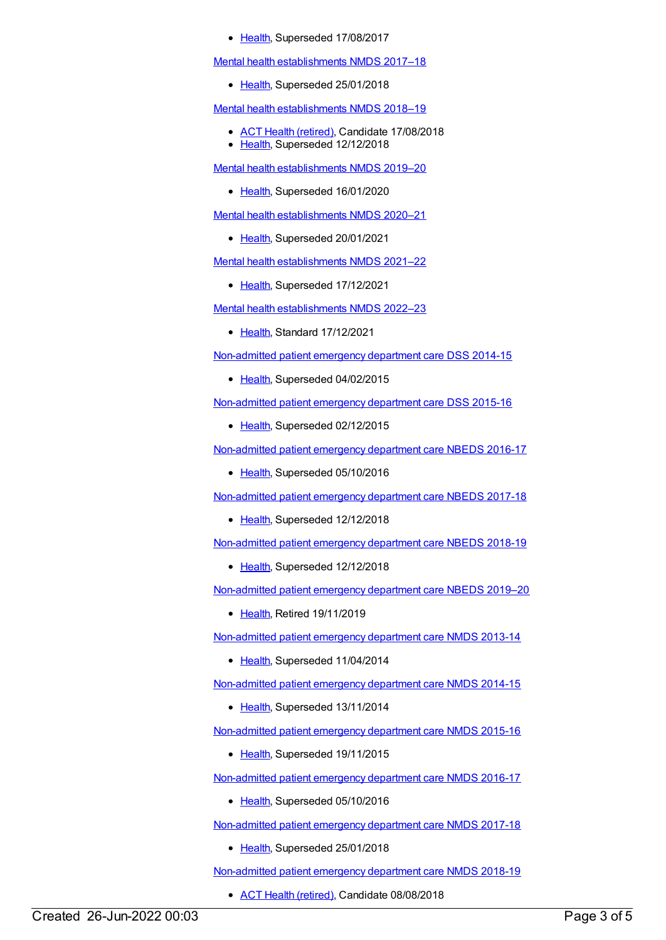• [Health](https://meteor.aihw.gov.au/RegistrationAuthority/12), Superseded 17/08/2017

Mental health [establishments](https://meteor.aihw.gov.au/content/645723) NMDS 2017–18

• [Health](https://meteor.aihw.gov.au/RegistrationAuthority/12), Superseded 25/01/2018

Mental health [establishments](https://meteor.aihw.gov.au/content/677892) NMDS 2018–19

- ACT Health [\(retired\)](https://meteor.aihw.gov.au/RegistrationAuthority/9), Candidate 17/08/2018
- [Health](https://meteor.aihw.gov.au/RegistrationAuthority/12), Superseded 12/12/2018

Mental health [establishments](https://meteor.aihw.gov.au/content/707557) NMDS 2019–20

• [Health](https://meteor.aihw.gov.au/RegistrationAuthority/12), Superseded 16/01/2020

Mental health [establishments](https://meteor.aihw.gov.au/content/722168) NMDS 2020–21

• [Health](https://meteor.aihw.gov.au/RegistrationAuthority/12), Superseded 20/01/2021

Mental health [establishments](https://meteor.aihw.gov.au/content/727352) NMDS 2021–22

• [Health](https://meteor.aihw.gov.au/RegistrationAuthority/12), Superseded 17/12/2021

Mental health [establishments](https://meteor.aihw.gov.au/content/742046) NMDS 2022–23

• [Health](https://meteor.aihw.gov.au/RegistrationAuthority/12), Standard 17/12/2021

[Non-admitted](https://meteor.aihw.gov.au/content/567462) patient emergency department care DSS 2014-15

• [Health](https://meteor.aihw.gov.au/RegistrationAuthority/12), Superseded 04/02/2015

[Non-admitted](https://meteor.aihw.gov.au/content/590675) patient emergency department care DSS 2015-16

• [Health](https://meteor.aihw.gov.au/RegistrationAuthority/12), Superseded 02/12/2015

[Non-admitted](https://meteor.aihw.gov.au/content/617933) patient emergency department care NBEDS 2016-17

• [Health](https://meteor.aihw.gov.au/RegistrationAuthority/12), Superseded 05/10/2016

[Non-admitted](https://meteor.aihw.gov.au/content/655704) patient emergency department care NBEDS 2017-18

• [Health](https://meteor.aihw.gov.au/RegistrationAuthority/12), Superseded 12/12/2018

[Non-admitted](https://meteor.aihw.gov.au/content/676384) patient emergency department care NBEDS 2018-19

• [Health](https://meteor.aihw.gov.au/RegistrationAuthority/12), Superseded 12/12/2018

[Non-admitted](https://meteor.aihw.gov.au/content/708556) patient emergency department care NBEDS 2019–20

• [Health](https://meteor.aihw.gov.au/RegistrationAuthority/12), Retired 19/11/2019

[Non-admitted](https://meteor.aihw.gov.au/content/509116) patient emergency department care NMDS 2013-14

• [Health](https://meteor.aihw.gov.au/RegistrationAuthority/12), Superseded 11/04/2014

[Non-admitted](https://meteor.aihw.gov.au/content/566909) patient emergency department care NMDS 2014-15

• [Health](https://meteor.aihw.gov.au/RegistrationAuthority/12), Superseded 13/11/2014

[Non-admitted](https://meteor.aihw.gov.au/content/588932) patient emergency department care NMDS 2015-16

• [Health](https://meteor.aihw.gov.au/RegistrationAuthority/12), Superseded 19/11/2015

[Non-admitted](https://meteor.aihw.gov.au/content/612346) patient emergency department care NMDS 2016-17

• [Health](https://meteor.aihw.gov.au/RegistrationAuthority/12), Superseded 05/10/2016

[Non-admitted](https://meteor.aihw.gov.au/content/651856) patient emergency department care NMDS 2017-18

• [Health](https://meteor.aihw.gov.au/RegistrationAuthority/12), Superseded 25/01/2018

[Non-admitted](https://meteor.aihw.gov.au/content/679018) patient emergency department care NMDS 2018-19

• ACT Health [\(retired\)](https://meteor.aihw.gov.au/RegistrationAuthority/9), Candidate 08/08/2018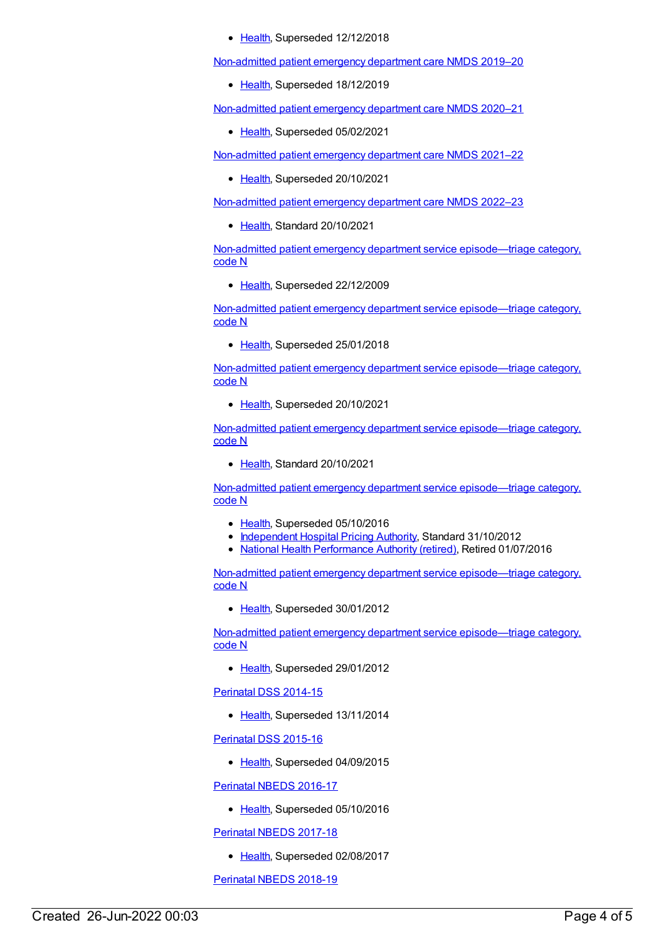• [Health](https://meteor.aihw.gov.au/RegistrationAuthority/12), Superseded 12/12/2018

[Non-admitted](https://meteor.aihw.gov.au/content/699738) patient emergency department care NMDS 2019–20

• [Health](https://meteor.aihw.gov.au/RegistrationAuthority/12), Superseded 18/12/2019

[Non-admitted](https://meteor.aihw.gov.au/content/713860) patient emergency department care NMDS 2020–21

• [Health](https://meteor.aihw.gov.au/RegistrationAuthority/12), Superseded 05/02/2021

[Non-admitted](https://meteor.aihw.gov.au/content/727360) patient emergency department care NMDS 2021–22

• [Health](https://meteor.aihw.gov.au/RegistrationAuthority/12), Superseded 20/10/2021

[Non-admitted](https://meteor.aihw.gov.au/content/742184) patient emergency department care NMDS 2022–23

• [Health](https://meteor.aihw.gov.au/RegistrationAuthority/12), Standard 20/10/2021

Non-admitted patient emergency department service [episode—triage](https://meteor.aihw.gov.au/content/270078) category, code N

• [Health](https://meteor.aihw.gov.au/RegistrationAuthority/12), Superseded 22/12/2009

Non-admitted patient emergency department service [episode—triage](https://meteor.aihw.gov.au/content/646659) category, code N

• [Health](https://meteor.aihw.gov.au/RegistrationAuthority/12), Superseded 25/01/2018

Non-admitted patient emergency department service [episode—triage](https://meteor.aihw.gov.au/content/684872) category, code N

• [Health](https://meteor.aihw.gov.au/RegistrationAuthority/12), Superseded 20/10/2021

Non-admitted patient emergency department service [episode—triage](https://meteor.aihw.gov.au/content/746627) category, code N

• [Health](https://meteor.aihw.gov.au/RegistrationAuthority/12), Standard 20/10/2021

Non-admitted patient emergency department service [episode—triage](https://meteor.aihw.gov.au/content/474185) category, code N

- [Health](https://meteor.aihw.gov.au/RegistrationAuthority/12), Superseded 05/10/2016
- [Independent](https://meteor.aihw.gov.au/RegistrationAuthority/3) Hospital Pricing Authority, Standard 31/10/2012
- National Health [Performance](https://meteor.aihw.gov.au/RegistrationAuthority/8) Authority (retired), Retired 01/07/2016

Non-admitted patient emergency department service [episode—triage](https://meteor.aihw.gov.au/content/471926) category, code N

• [Health](https://meteor.aihw.gov.au/RegistrationAuthority/12), Superseded 30/01/2012

Non-admitted patient emergency department service [episode—triage](https://meteor.aihw.gov.au/content/390392) category, code N

• [Health](https://meteor.aihw.gov.au/RegistrationAuthority/12), Superseded 29/01/2012

[Perinatal](https://meteor.aihw.gov.au/content/510127) DSS 2014-15

• [Health](https://meteor.aihw.gov.au/RegistrationAuthority/12), Superseded 13/11/2014

[Perinatal](https://meteor.aihw.gov.au/content/581388) DSS 2015-16

• [Health](https://meteor.aihw.gov.au/RegistrationAuthority/12), Superseded 04/09/2015

[Perinatal](https://meteor.aihw.gov.au/content/605250) NBEDS 2016-17

• [Health](https://meteor.aihw.gov.au/RegistrationAuthority/12), Superseded 05/10/2016

[Perinatal](https://meteor.aihw.gov.au/content/654975) NBEDS 2017-18

• [Health](https://meteor.aihw.gov.au/RegistrationAuthority/12), Superseded 02/08/2017

[Perinatal](https://meteor.aihw.gov.au/content/668809) NBEDS 2018-19